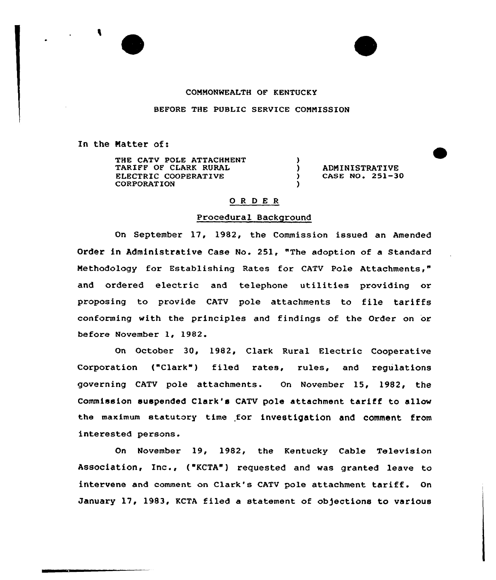## CONNONWEALTH OF KENTUCKY

BEFORE THE PUBLIC SERVICE CONNISSION

In the Natter of:

THE CATV POLE ATTACHMENT TARIFF OF CLARK RURAL ELECTRIC COOPERATIVE CORPORATION )<br>) ) ADMINISTRATIVE<br>
) CASE NO. 251-3 CASE NO. 251-30 )

# 0 <sup>R</sup> <sup>D</sup> E R

#### Procedural Background

On September 17, 1982, the Commission issued an Amended Order in Administrative Case No. 251, "The adoption of a Standard Nethodology for Establishing Rates for CATV Pole Attachments," and ordered electric and telephone utilities providing or proposing to provide CATV pole attachments to file tariffs conforming with the principles and findings of the Order on or before November 1, 1982.

On October 30, 1982, Clark Rural Electric Cooperative Corporation ("Clark") filed rates, rules, and regulations governing CATV pole attachments. On November 15, 1982, the Commission suspended Clark's CATV pole attachment tariff to allow the maximum statutory time for investigation and comment from interested persons.

On November 19, 1982, the Kentucky Cable Television Association, Inc., ("KCTA") requested and was granted leave to intervene and comment on Clark's CATV pole attachment tariff. On January 17, 1983, KCTA filed a statement of objections to various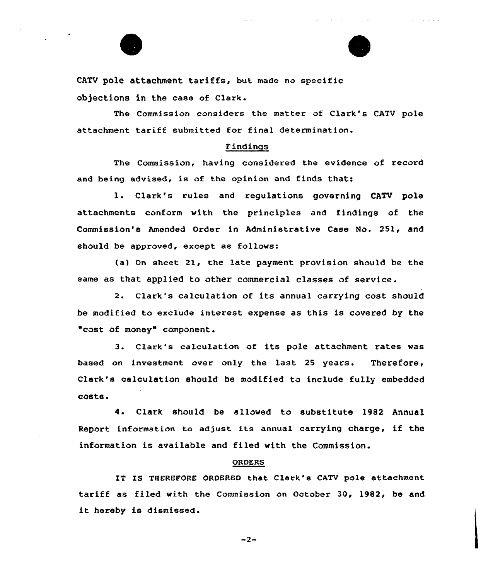



 $\mathcal{L}^{\text{max}}$ 

CATV pole attachment tariffs, but made no specific objections in the case of Clark.

The Commission considers the matter of Clark's CATV pole attachment tariff submitted for final determination.

## Findings

The Commission, having considered the evidence of record and being advised, is of the opinion and finds that:

1. Clark's rules and regulations governing CATV pole attachments conform with the principles and findings of the Commission's Amended Order in Administrative Case No. 251, and should be approved, except as follows:

(a) On sheet 21, the late payment provision should be the same as that applied to other commercial classes of service.

2. clark's calculation of its annual carrying cost should be modified to exclude interest expense as this is covered by the "cost of money" component.

3. Clark's calculation of its pole attachment rates was based on investment over only the last 25 years. Therefore, Clark's calculation should be modified to include fully embedded costs'.

Clark should be allowed to substitute 1982 Annual 4. Report information to adjust its annual carrying charge, if the information is available and filed with the Commission.

### ORDERS

IT IS THEREFORE ORDERED that Clark's CATV pole attachment tariff as filed with the Commission on October 30, 1982, be and it hereby is dismissed.

 $-2-$